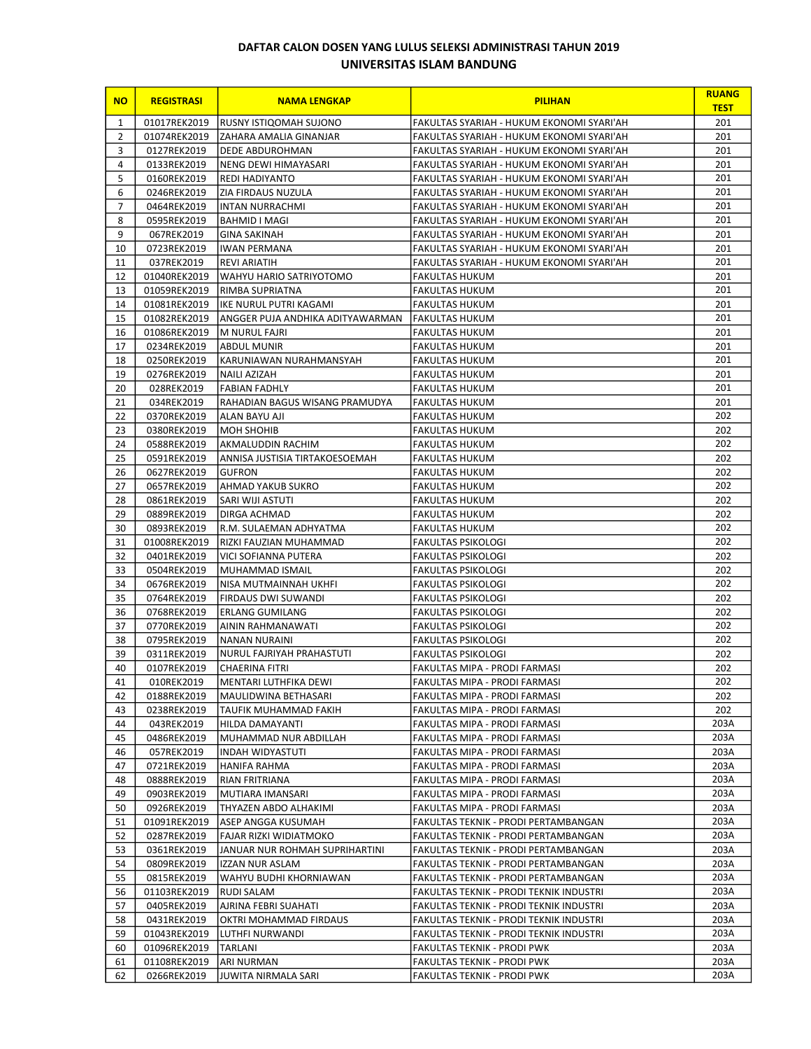## DAFTAR CALON DOSEN YANG LULUS SELEKSI ADMINISTRASI TAHUN 2019 UNIVERSITAS ISLAM BANDUNG

| <b>NO</b>      | <b>REGISTRASI</b>           | <b>NAMA LENGKAP</b>                      | <b>PILIHAN</b>                                                 | <b>RUANG</b><br><b>TEST</b> |
|----------------|-----------------------------|------------------------------------------|----------------------------------------------------------------|-----------------------------|
| $\mathbf{1}$   | 01017REK2019                | RUSNY ISTIQOMAH SUJONO                   | FAKULTAS SYARIAH - HUKUM EKONOMI SYARI'AH                      | 201                         |
| $\overline{2}$ | 01074REK2019                | ZAHARA AMALIA GINANJAR                   | FAKULTAS SYARIAH - HUKUM EKONOMI SYARI'AH                      | 201                         |
| 3              | 0127REK2019                 | <b>DEDE ABDUROHMAN</b>                   | FAKULTAS SYARIAH - HUKUM EKONOMI SYARI'AH                      | 201                         |
| 4              | 0133REK2019                 | NENG DEWI HIMAYASARI                     | FAKULTAS SYARIAH - HUKUM EKONOMI SYARI'AH                      | 201                         |
| 5              | 0160REK2019                 | <b>REDI HADIYANTO</b>                    | FAKULTAS SYARIAH - HUKUM EKONOMI SYARI'AH                      | 201                         |
| 6              | 0246REK2019                 | ZIA FIRDAUS NUZULA                       | FAKULTAS SYARIAH - HUKUM EKONOMI SYARI'AH                      | 201                         |
| $\overline{7}$ | 0464REK2019                 | <b>INTAN NURRACHMI</b>                   | FAKULTAS SYARIAH - HUKUM EKONOMI SYARI'AH                      | 201                         |
| 8              | 0595REK2019                 | BAHMID I MAGI                            | FAKULTAS SYARIAH - HUKUM EKONOMI SYARI'AH                      | 201                         |
| 9              | 067REK2019                  | <b>GINA SAKINAH</b>                      | FAKULTAS SYARIAH - HUKUM EKONOMI SYARI'AH                      | 201                         |
| 10             | 0723REK2019                 | <b>IWAN PERMANA</b>                      | FAKULTAS SYARIAH - HUKUM EKONOMI SYARI'AH                      | 201                         |
| 11             | 037REK2019                  | <b>REVI ARIATIH</b>                      | FAKULTAS SYARIAH - HUKUM EKONOMI SYARI'AH                      | 201                         |
| 12             | 01040REK2019                | WAHYU HARIO SATRIYOTOMO                  | FAKULTAS HUKUM                                                 | 201                         |
| 13             | 01059REK2019                | RIMBA SUPRIATNA                          | <b>FAKULTAS HUKUM</b>                                          | 201                         |
| 14             | 01081REK2019                | like NURUL PUTRI KAGAMI                  | <b>FAKULTAS HUKUM</b>                                          | 201                         |
| 15             | 01082REK2019                | ANGGER PUJA ANDHIKA ADITYAWARMAN         | <b>FAKULTAS HUKUM</b>                                          | 201                         |
| 16<br>17       | 01086REK2019<br>0234REK2019 | M NURUL FAJRI                            | FAKULTAS HUKUM                                                 | 201<br>201                  |
| 18             | 0250REK2019                 | ABDUL MUNIR<br>KARUNIAWAN NURAHMANSYAH   | <b>FAKULTAS HUKUM</b><br><b>FAKULTAS HUKUM</b>                 | 201                         |
| 19             | 0276REK2019                 | <b>NAILI AZIZAH</b>                      | <b>FAKULTAS HUKUM</b>                                          | 201                         |
| 20             | 028REK2019                  | <b>FABIAN FADHLY</b>                     | <b>FAKULTAS HUKUM</b>                                          | 201                         |
| 21             | 034REK2019                  | RAHADIAN BAGUS WISANG PRAMUDYA           | <b>FAKULTAS HUKUM</b>                                          | 201                         |
| 22             | 0370REK2019                 | ALAN BAYU AJI                            | <b>FAKULTAS HUKUM</b>                                          | 202                         |
| 23             | 0380REK2019                 | <b>MOH SHOHIB</b>                        | <b>FAKULTAS HUKUM</b>                                          | 202                         |
| 24             | 0588REK2019                 | AKMALUDDIN RACHIM                        | FAKULTAS HUKUM                                                 | 202                         |
| 25             | 0591REK2019                 | ANNISA JUSTISIA TIRTAKOESOEMAH           | <b>FAKULTAS HUKUM</b>                                          | 202                         |
| 26             | 0627REK2019                 | <b>GUFRON</b>                            | <b>FAKULTAS HUKUM</b>                                          | 202                         |
| 27             | 0657REK2019                 | AHMAD YAKUB SUKRO                        | <b>FAKULTAS HUKUM</b>                                          | 202                         |
| 28             | 0861REK2019                 | SARI WIJI ASTUTI                         | <b>FAKULTAS HUKUM</b>                                          | 202                         |
| 29             | 0889REK2019                 | DIRGA ACHMAD                             | <b>FAKULTAS HUKUM</b>                                          | 202                         |
| 30             | 0893REK2019                 | R.M. SULAEMAN ADHYATMA                   | <b>FAKULTAS HUKUM</b>                                          | 202                         |
| 31             | 01008REK2019                | RIZKI FAUZIAN MUHAMMAD                   | <b>FAKULTAS PSIKOLOGI</b>                                      | 202                         |
| 32             | 0401REK2019                 | VICI SOFIANNA PUTERA                     | <b>FAKULTAS PSIKOLOGI</b>                                      | 202                         |
| 33             | 0504REK2019                 | MUHAMMAD ISMAIL                          | <b>FAKULTAS PSIKOLOGI</b>                                      | 202                         |
| 34             | 0676REK2019                 | NISA MUTMAINNAH UKHFI                    | <b>FAKULTAS PSIKOLOGI</b>                                      | 202                         |
| 35             | 0764REK2019                 | <b>FIRDAUS DWI SUWANDI</b>               | <b>FAKULTAS PSIKOLOGI</b>                                      | 202                         |
| 36             | 0768REK2019                 | <b>ERLANG GUMILANG</b>                   | <b>FAKULTAS PSIKOLOGI</b>                                      | 202                         |
| 37             | 0770REK2019                 | AININ RAHMANAWATI                        | <b>FAKULTAS PSIKOLOGI</b>                                      | 202                         |
| 38             | 0795REK2019                 | NANAN NURAINI                            | <b>FAKULTAS PSIKOLOGI</b>                                      | 202                         |
| 39             | 0311REK2019                 | NURUL FAJRIYAH PRAHASTUTI                | <b>FAKULTAS PSIKOLOGI</b>                                      | 202                         |
| 40             | 0107REK2019                 | CHAERINA FITRI                           | FAKULTAS MIPA - PRODI FARMASI                                  | 202                         |
| 41             | 010REK2019                  | MENTARI LUTHFIKA DEWI                    | FAKULTAS MIPA - PRODI FARMASI                                  | 202                         |
| 42<br>43       | 0188REK2019                 | MAULIDWINA BETHASARI                     | FAKULTAS MIPA - PRODI FARMASI<br>FAKULTAS MIPA - PRODI FARMASI | 202<br>202                  |
| 44             | 0238REK2019<br>043REK2019   | TAUFIK MUHAMMAD FAKIH<br>HILDA DAMAYANTI | FAKULTAS MIPA - PRODI FARMASI                                  | 203A                        |
| 45             | 0486REK2019                 | MUHAMMAD NUR ABDILLAH                    | FAKULTAS MIPA - PRODI FARMASI                                  | 203A                        |
| 46             | 057REK2019                  | INDAH WIDYASTUTI                         | FAKULTAS MIPA - PRODI FARMASI                                  | 203A                        |
| 47             | 0721REK2019                 | HANIFA RAHMA                             | FAKULTAS MIPA - PRODI FARMASI                                  | 203A                        |
| 48             | 0888REK2019                 | RIAN FRITRIANA                           | FAKULTAS MIPA - PRODI FARMASI                                  | 203A                        |
| 49             | 0903REK2019                 | MUTIARA IMANSARI                         | FAKULTAS MIPA - PRODI FARMASI                                  | 203A                        |
| 50             | 0926REK2019                 | THYAZEN ABDO ALHAKIMI                    | FAKULTAS MIPA - PRODI FARMASI                                  | 203A                        |
| 51             | 01091REK2019                | ASEP ANGGA KUSUMAH                       | FAKULTAS TEKNIK - PRODI PERTAMBANGAN                           | 203A                        |
| 52             | 0287REK2019                 | FAJAR RIZKI WIDIATMOKO                   | FAKULTAS TEKNIK - PRODI PERTAMBANGAN                           | 203A                        |
| 53             | 0361REK2019                 | JANUAR NUR ROHMAH SUPRIHARTINI           | FAKULTAS TEKNIK - PRODI PERTAMBANGAN                           | 203A                        |
| 54             | 0809REK2019                 | IZZAN NUR ASLAM                          | FAKULTAS TEKNIK - PRODI PERTAMBANGAN                           | 203A                        |
| 55             | 0815REK2019                 | WAHYU BUDHI KHORNIAWAN                   | FAKULTAS TEKNIK - PRODI PERTAMBANGAN                           | 203A                        |
| 56             | 01103REK2019                | <b>RUDI SALAM</b>                        | FAKULTAS TEKNIK - PRODI TEKNIK INDUSTRI                        | 203A                        |
| 57             | 0405REK2019                 | AJRINA FEBRI SUAHATI                     | FAKULTAS TEKNIK - PRODI TEKNIK INDUSTRI                        | 203A                        |
| 58             | 0431REK2019                 | OKTRI MOHAMMAD FIRDAUS                   | FAKULTAS TEKNIK - PRODI TEKNIK INDUSTRI                        | 203A                        |
| 59             | 01043REK2019                | LUTHFI NURWANDI                          | FAKULTAS TEKNIK - PRODI TEKNIK INDUSTRI                        | 203A                        |
| 60             | 01096REK2019                | TARLANI                                  | FAKULTAS TEKNIK - PRODI PWK                                    | 203A                        |
| 61             | 01108REK2019                | ARI NURMAN                               | FAKULTAS TEKNIK - PRODI PWK                                    | 203A                        |
| 62             | 0266REK2019                 | JUWITA NIRMALA SARI                      | FAKULTAS TEKNIK - PRODI PWK                                    | 203A                        |